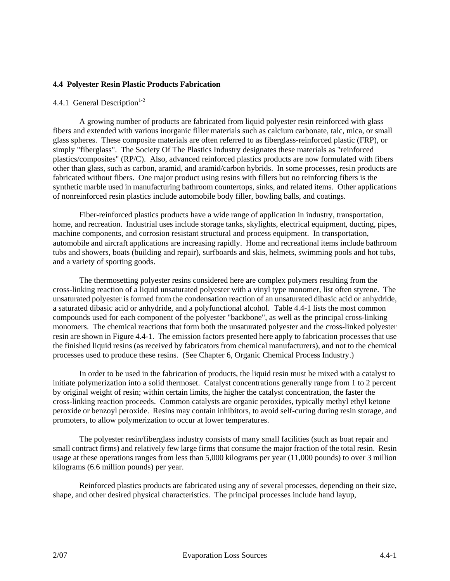## **4.4 Polyester Resin Plastic Products Fabrication**

## 4.4.1 General Description<sup>1-2</sup>

A growing number of products are fabricated from liquid polyester resin reinforced with glass fibers and extended with various inorganic filler materials such as calcium carbonate, talc, mica, or small glass spheres. These composite materials are often referred to as fiberglass-reinforced plastic (FRP), or simply "fiberglass". The Society Of The Plastics Industry designates these materials as "reinforced plastics/composites" (RP/C). Also, advanced reinforced plastics products are now formulated with fibers other than glass, such as carbon, aramid, and aramid/carbon hybrids. In some processes, resin products are fabricated without fibers. One major product using resins with fillers but no reinforcing fibers is the synthetic marble used in manufacturing bathroom countertops, sinks, and related items. Other applications of nonreinforced resin plastics include automobile body filler, bowling balls, and coatings.

Fiber-reinforced plastics products have a wide range of application in industry, transportation, home, and recreation. Industrial uses include storage tanks, skylights, electrical equipment, ducting, pipes, machine components, and corrosion resistant structural and process equipment. In transportation, automobile and aircraft applications are increasing rapidly. Home and recreational items include bathroom tubs and showers, boats (building and repair), surfboards and skis, helmets, swimming pools and hot tubs, and a variety of sporting goods.

The thermosetting polyester resins considered here are complex polymers resulting from the cross-linking reaction of a liquid unsaturated polyester with a vinyl type monomer, list often styrene. The unsaturated polyester is formed from the condensation reaction of an unsaturated dibasic acid or anhydride, a saturated dibasic acid or anhydride, and a polyfunctional alcohol. Table 4.4-1 lists the most common compounds used for each component of the polyester "backbone", as well as the principal cross-linking monomers. The chemical reactions that form both the unsaturated polyester and the cross-linked polyester resin are shown in Figure 4.4-1. The emission factors presented here apply to fabrication processes that use the finished liquid resins (as received by fabricators from chemical manufacturers), and not to the chemical processes used to produce these resins. (See Chapter 6, Organic Chemical Process Industry.)

In order to be used in the fabrication of products, the liquid resin must be mixed with a catalyst to initiate polymerization into a solid thermoset. Catalyst concentrations generally range from 1 to 2 percent by original weight of resin; within certain limits, the higher the catalyst concentration, the faster the cross-linking reaction proceeds. Common catalysts are organic peroxides, typically methyl ethyl ketone peroxide or benzoyl peroxide. Resins may contain inhibitors, to avoid self-curing during resin storage, and promoters, to allow polymerization to occur at lower temperatures.

The polyester resin/fiberglass industry consists of many small facilities (such as boat repair and small contract firms) and relatively few large firms that consume the major fraction of the total resin. Resin usage at these operations ranges from less than 5,000 kilograms per year (11,000 pounds) to over 3 million kilograms (6.6 million pounds) per year.

Reinforced plastics products are fabricated using any of several processes, depending on their size, shape, and other desired physical characteristics. The principal processes include hand layup,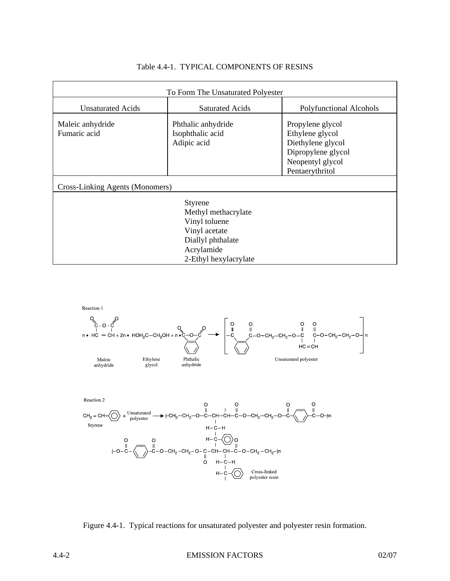| To Form The Unsaturated Polyester                 |                                                       |                                                                                                                       |  |  |  |
|---------------------------------------------------|-------------------------------------------------------|-----------------------------------------------------------------------------------------------------------------------|--|--|--|
| <b>Unsaturated Acids</b>                          | <b>Saturated Acids</b>                                | Polyfunctional Alcohols                                                                                               |  |  |  |
| Maleic anhydride<br>Fumaric acid                  | Phthalic anhydride<br>Isophthalic acid<br>Adipic acid | Propylene glycol<br>Ethylene glycol<br>Diethylene glycol<br>Dipropylene glycol<br>Neopentyl glycol<br>Pentaerythritol |  |  |  |
| <b>Cross-Linking Agents (Monomers)</b><br>Styrene |                                                       |                                                                                                                       |  |  |  |
| Methyl methacrylate                               |                                                       |                                                                                                                       |  |  |  |
| Vinyl toluene<br>Vinyl acetate                    |                                                       |                                                                                                                       |  |  |  |
| Diallyl phthalate                                 |                                                       |                                                                                                                       |  |  |  |
| Acrylamide<br>2-Ethyl hexylacrylate               |                                                       |                                                                                                                       |  |  |  |

## Table 4.4-1. TYPICAL COMPONENTS OF RESINS



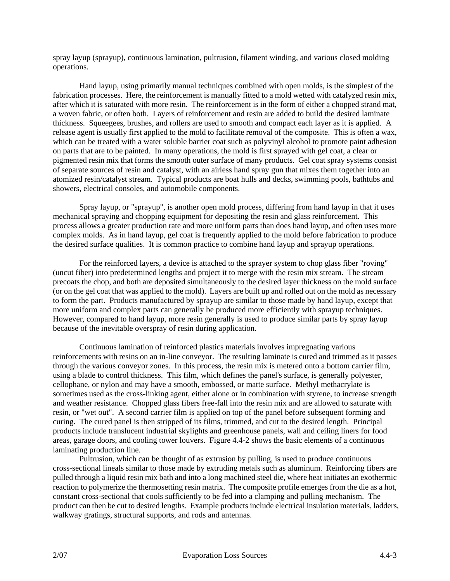spray layup (sprayup), continuous lamination, pultrusion, filament winding, and various closed molding operations.

Hand layup, using primarily manual techniques combined with open molds, is the simplest of the fabrication processes. Here, the reinforcement is manually fitted to a mold wetted with catalyzed resin mix, after which it is saturated with more resin. The reinforcement is in the form of either a chopped strand mat, a woven fabric, or often both. Layers of reinforcement and resin are added to build the desired laminate thickness. Squeegees, brushes, and rollers are used to smooth and compact each layer as it is applied. A release agent is usually first applied to the mold to facilitate removal of the composite. This is often a wax, which can be treated with a water soluble barrier coat such as polyvinyl alcohol to promote paint adhesion on parts that are to be painted. In many operations, the mold is first sprayed with gel coat, a clear or pigmented resin mix that forms the smooth outer surface of many products. Gel coat spray systems consist of separate sources of resin and catalyst, with an airless hand spray gun that mixes them together into an atomized resin/catalyst stream. Typical products are boat hulls and decks, swimming pools, bathtubs and showers, electrical consoles, and automobile components.

Spray layup, or "sprayup", is another open mold process, differing from hand layup in that it uses mechanical spraying and chopping equipment for depositing the resin and glass reinforcement. This process allows a greater production rate and more uniform parts than does hand layup, and often uses more complex molds. As in hand layup, gel coat is frequently applied to the mold before fabrication to produce the desired surface qualities. It is common practice to combine hand layup and sprayup operations.

For the reinforced layers, a device is attached to the sprayer system to chop glass fiber "roving" (uncut fiber) into predetermined lengths and project it to merge with the resin mix stream. The stream precoats the chop, and both are deposited simultaneously to the desired layer thickness on the mold surface (or on the gel coat that was applied to the mold). Layers are built up and rolled out on the mold as necessary to form the part. Products manufactured by sprayup are similar to those made by hand layup, except that more uniform and complex parts can generally be produced more efficiently with sprayup techniques. However, compared to hand layup, more resin generally is used to produce similar parts by spray layup because of the inevitable overspray of resin during application.

Continuous lamination of reinforced plastics materials involves impregnating various reinforcements with resins on an in-line conveyor. The resulting laminate is cured and trimmed as it passes through the various conveyor zones. In this process, the resin mix is metered onto a bottom carrier film, using a blade to control thickness. This film, which defines the panel's surface, is generally polyester, cellophane, or nylon and may have a smooth, embossed, or matte surface. Methyl methacrylate is sometimes used as the cross-linking agent, either alone or in combination with styrene, to increase strength and weather resistance. Chopped glass fibers free-fall into the resin mix and are allowed to saturate with resin, or "wet out". A second carrier film is applied on top of the panel before subsequent forming and curing. The cured panel is then stripped of its films, trimmed, and cut to the desired length. Principal products include translucent industrial skylights and greenhouse panels, wall and ceiling liners for food areas, garage doors, and cooling tower louvers. Figure 4.4-2 shows the basic elements of a continuous laminating production line.

Pultrusion, which can be thought of as extrusion by pulling, is used to produce continuous cross-sectional lineals similar to those made by extruding metals such as aluminum. Reinforcing fibers are pulled through a liquid resin mix bath and into a long machined steel die, where heat initiates an exothermic reaction to polymerize the thermosetting resin matrix. The composite profile emerges from the die as a hot, constant cross-sectional that cools sufficiently to be fed into a clamping and pulling mechanism. The product can then be cut to desired lengths. Example products include electrical insulation materials, ladders, walkway gratings, structural supports, and rods and antennas.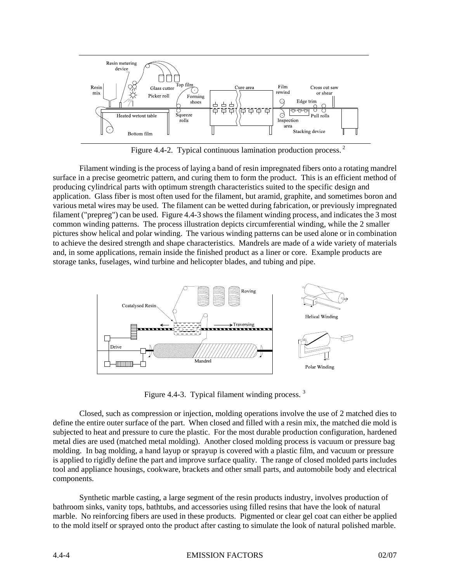

Figure 4.4-2. Typical continuous lamination production process. 2

Filament winding is the process of laying a band of resin impregnated fibers onto a rotating mandrel surface in a precise geometric pattern, and curing them to form the product. This is an efficient method of producing cylindrical parts with optimum strength characteristics suited to the specific design and application. Glass fiber is most often used for the filament, but aramid, graphite, and sometimes boron and various metal wires may be used. The filament can be wetted during fabrication, or previously impregnated filament ("prepreg") can be used. Figure 4.4-3 shows the filament winding process, and indicates the 3 most common winding patterns. The process illustration depicts circumferential winding, while the 2 smaller pictures show helical and polar winding. The various winding patterns can be used alone or in combination to achieve the desired strength and shape characteristics. Mandrels are made of a wide variety of materials and, in some applications, remain inside the finished product as a liner or core. Example products are storage tanks, fuselages, wind turbine and helicopter blades, and tubing and pipe.



Figure 4.4-3. Typical filament winding process.<sup>3</sup>

Closed, such as compression or injection, molding operations involve the use of 2 matched dies to define the entire outer surface of the part. When closed and filled with a resin mix, the matched die mold is subjected to heat and pressure to cure the plastic. For the most durable production configuration, hardened metal dies are used (matched metal molding). Another closed molding process is vacuum or pressure bag molding. In bag molding, a hand layup or sprayup is covered with a plastic film, and vacuum or pressure is applied to rigidly define the part and improve surface quality. The range of closed molded parts includes tool and appliance housings, cookware, brackets and other small parts, and automobile body and electrical components.

Synthetic marble casting, a large segment of the resin products industry, involves production of bathroom sinks, vanity tops, bathtubs, and accessories using filled resins that have the look of natural marble. No reinforcing fibers are used in these products. Pigmented or clear gel coat can either be applied to the mold itself or sprayed onto the product after casting to simulate the look of natural polished marble.

#### 4.4-4 EMISSION FACTORS 02/07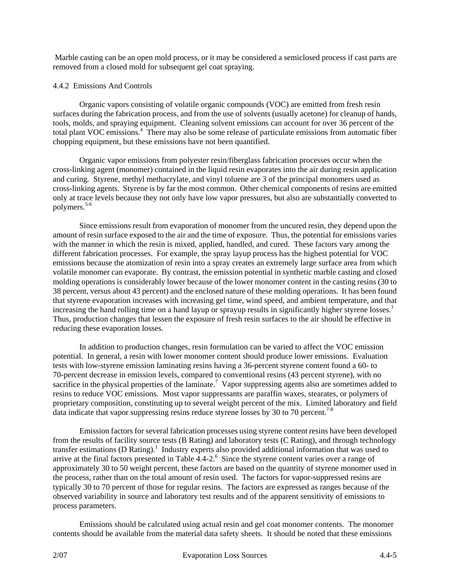Marble casting can be an open mold process, or it may be considered a semiclosed process if cast parts are removed from a closed mold for subsequent gel coat spraying.

## 4.4.2 Emissions And Controls

Organic vapors consisting of volatile organic compounds (VOC) are emitted from fresh resin surfaces during the fabrication process, and from the use of solvents (usually acetone) for cleanup of hands, tools, molds, and spraying equipment. Cleaning solvent emissions can account for over 36 percent of the total plant VOC emissions.<sup>4</sup> There may also be some release of particulate emissions from automatic fiber chopping equipment, but these emissions have not been quantified.

Organic vapor emissions from polyester resin/fiberglass fabrication processes occur when the cross-linking agent (monomer) contained in the liquid resin evaporates into the air during resin application and curing. Styrene, methyl methacrylate, and vinyl toluene are 3 of the principal monomers used as cross-linking agents. Styrene is by far the most common. Other chemical components of resins are emitted only at trace levels because they not only have low vapor pressures, but also are substantially converted to polymers.<sup>5-6</sup>

Since emissions result from evaporation of monomer from the uncured resin, they depend upon the amount of resin surface exposed to the air and the time of exposure. Thus, the potential for emissions varies with the manner in which the resin is mixed, applied, handled, and cured. These factors vary among the different fabrication processes. For example, the spray layup process has the highest potential for VOC emissions because the atomization of resin into a spray creates an extremely large surface area from which volatile monomer can evaporate. By contrast, the emission potential in synthetic marble casting and closed molding operations is considerably lower because of the lower monomer content in the casting resins (30 to 38 percent, versus about 43 percent) and the enclosed nature of these molding operations. It has been found that styrene evaporation increases with increasing gel time, wind speed, and ambient temperature, and that increasing the hand rolling time on a hand layup or sprayup results in significantly higher styrene losses.<sup>1</sup> Thus, production changes that lessen the exposure of fresh resin surfaces to the air should be effective in reducing these evaporation losses.

In addition to production changes, resin formulation can be varied to affect the VOC emission potential. In general, a resin with lower monomer content should produce lower emissions. Evaluation tests with low-styrene emission laminating resins having a 36-percent styrene content found a 60- to 70-percent decrease in emission levels, compared to conventional resins (43 percent styrene), with no sacrifice in the physical properties of the laminate.<sup>7</sup> Vapor suppressing agents also are sometimes added to resins to reduce VOC emissions. Most vapor suppressants are paraffin waxes, stearates, or polymers of proprietary composition, constituting up to several weight percent of the mix. Limited laboratory and field data indicate that vapor suppressing resins reduce styrene losses by 30 to 70 percent.<sup>7-8</sup>

Emission factors for several fabrication processes using styrene content resins have been developed from the results of facility source tests (B Rating) and laboratory tests (C Rating), and through technology transfer estimations (D Rating).<sup>1</sup> Industry experts also provided additional information that was used to arrive at the final factors presented in Table 4.4-2.<sup>6</sup> Since the styrene content varies over a range of approximately 30 to 50 weight percent, these factors are based on the quantity of styrene monomer used in the process, rather than on the total amount of resin used. The factors for vapor-suppressed resins are typically 30 to 70 percent of those for regular resins. The factors are expressed as ranges because of the observed variability in source and laboratory test results and of the apparent sensitivity of emissions to process parameters.

Emissions should be calculated using actual resin and gel coat monomer contents. The monomer contents should be available from the material data safety sheets. It should be noted that these emissions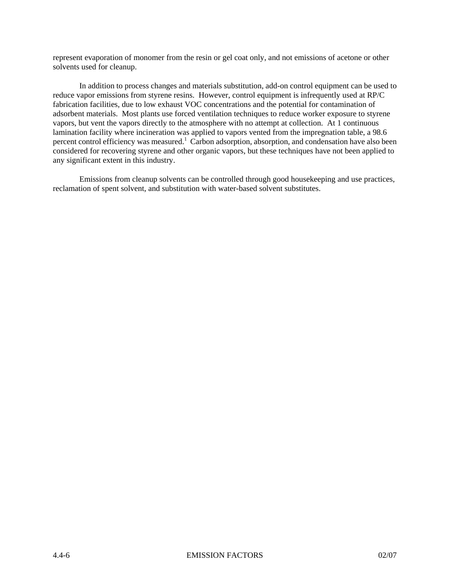represent evaporation of monomer from the resin or gel coat only, and not emissions of acetone or other solvents used for cleanup.

In addition to process changes and materials substitution, add-on control equipment can be used to reduce vapor emissions from styrene resins. However, control equipment is infrequently used at RP/C fabrication facilities, due to low exhaust VOC concentrations and the potential for contamination of adsorbent materials. Most plants use forced ventilation techniques to reduce worker exposure to styrene vapors, but vent the vapors directly to the atmosphere with no attempt at collection. At 1 continuous lamination facility where incineration was applied to vapors vented from the impregnation table, a 98.6 percent control efficiency was measured.<sup>1</sup> Carbon adsorption, absorption, and condensation have also been considered for recovering styrene and other organic vapors, but these techniques have not been applied to any significant extent in this industry.

Emissions from cleanup solvents can be controlled through good housekeeping and use practices, reclamation of spent solvent, and substitution with water-based solvent substitutes.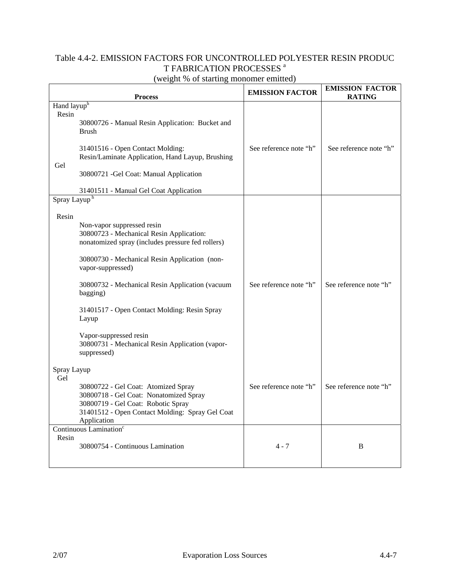# Table 4.4-2. EMISSION FACTORS FOR UNCONTROLLED POLYESTER RESIN PRODUC T FABRICATION PROCESSES<sup>a</sup>

| (weight % of starting monomer emitted) |  |  |
|----------------------------------------|--|--|
|                                        |  |  |

| <b>Process</b>           |                                                                                                                                                                                       | <b>EMISSION FACTOR</b> | <b>EMISSION FACTOR</b><br><b>RATING</b> |
|--------------------------|---------------------------------------------------------------------------------------------------------------------------------------------------------------------------------------|------------------------|-----------------------------------------|
| Hand layuph<br>Resin     |                                                                                                                                                                                       |                        |                                         |
|                          | 30800726 - Manual Resin Application: Bucket and<br><b>Brush</b>                                                                                                                       |                        |                                         |
| Gel                      | 31401516 - Open Contact Molding:<br>Resin/Laminate Application, Hand Layup, Brushing                                                                                                  | See reference note "h" | See reference note "h"                  |
|                          | 30800721 - Gel Coat: Manual Application                                                                                                                                               |                        |                                         |
|                          | 31401511 - Manual Gel Coat Application                                                                                                                                                |                        |                                         |
| Spray Layup <sup>h</sup> |                                                                                                                                                                                       |                        |                                         |
| Resin                    |                                                                                                                                                                                       |                        |                                         |
|                          | Non-vapor suppressed resin<br>30800723 - Mechanical Resin Application:<br>nonatomized spray (includes pressure fed rollers)                                                           |                        |                                         |
|                          | 30800730 - Mechanical Resin Application (non-<br>vapor-suppressed)                                                                                                                    |                        |                                         |
|                          | 30800732 - Mechanical Resin Application (vacuum<br>bagging)                                                                                                                           | See reference note "h" | See reference note "h"                  |
|                          | 31401517 - Open Contact Molding: Resin Spray<br>Layup                                                                                                                                 |                        |                                         |
|                          | Vapor-suppressed resin<br>30800731 - Mechanical Resin Application (vapor-<br>suppressed)                                                                                              |                        |                                         |
| Spray Layup<br>Gel       |                                                                                                                                                                                       |                        |                                         |
|                          | 30800722 - Gel Coat: Atomized Spray<br>30800718 - Gel Coat: Nonatomized Spray<br>30800719 - Gel Coat: Robotic Spray<br>31401512 - Open Contact Molding: Spray Gel Coat<br>Application | See reference note "h" | See reference note "h"                  |
|                          | Continuous Lamination <sup>c</sup>                                                                                                                                                    |                        |                                         |
| Resin                    | 30800754 - Continuous Lamination                                                                                                                                                      | $4 - 7$                | B                                       |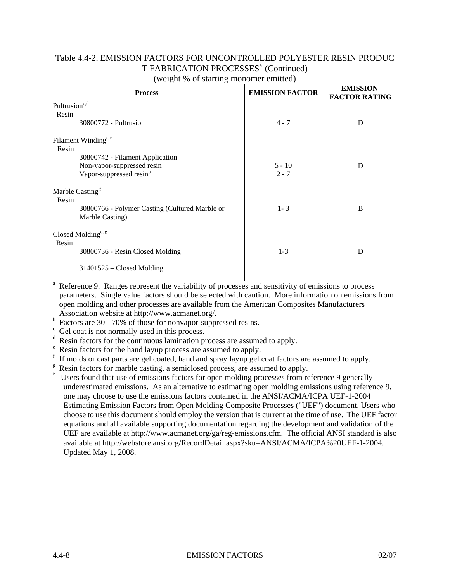## Table 4.4-2. EMISSION FACTORS FOR UNCONTROLLED POLYESTER RESIN PRODUC T FABRICATION PROCESSES<sup>a</sup> (Continued) (weight % of starting monomer emitted)

| <b>Process</b>                                 | <b>EMISSION FACTOR</b> | <b>EMISSION</b><br><b>FACTOR RATING</b> |
|------------------------------------------------|------------------------|-----------------------------------------|
| Pultrusion <sup>c,d</sup>                      |                        |                                         |
| Resin                                          |                        |                                         |
| 30800772 - Pultrusion                          | $4 - 7$                | D                                       |
| Filament Winding $\overline{e^{c,e}}$          |                        |                                         |
| Resin                                          |                        |                                         |
| 30800742 - Filament Application                |                        |                                         |
| Non-vapor-suppressed resin                     | $5 - 10$               | D                                       |
| Vapor-suppressed resin <sup>b</sup>            | $2 - 7$                |                                         |
|                                                |                        |                                         |
| Marble Casting <sup>1</sup>                    |                        |                                         |
| Resin                                          |                        |                                         |
| 30800766 - Polymer Casting (Cultured Marble or | $1 - 3$                | B                                       |
| Marble Casting)                                |                        |                                         |
|                                                |                        |                                         |
| Closed Molding <sup>c, g</sup>                 |                        |                                         |
| Resin                                          |                        |                                         |
| 30800736 - Resin Closed Molding                | $1 - 3$                | D                                       |
|                                                |                        |                                         |
| $31401525$ – Closed Molding                    |                        |                                         |
|                                                |                        |                                         |

<sup>a</sup> Reference 9. Ranges represent the variability of processes and sensitivity of emissions to process parameters. Single value factors should be selected with caution. More information on emissions from open molding and other processes are available from the American Composites Manufacturers Association website at http://www.acmanet.org/.

- b Factors are 30 - 70% of those for nonvapor-suppressed resins.
- <sup>c</sup> Gel coat is not normally used in this process.
- <sup>d</sup> Resin factors for the continuous lamination process are assumed to apply.
- <sup>e</sup> Resin factors for the hand layup process are assumed to apply.
- f If molds or cast parts are gel coated, hand and spray layup gel coat factors are assumed to apply.
- $g$  Resin factors for marble casting, a semiclosed process, are assumed to apply.
- <sup>h</sup> Users found that use of emissions factors for open molding processes from reference 9 generally underestimated emissions. As an alternative to estimating open molding emissions using reference 9, one may choose to use the emissions factors contained in the ANSI/ACMA/ICPA UEF-1-2004 Estimating Emission Factors from Open Molding Composite Processes ("UEF") document. Users who choose to use this document should employ the version that is current at the time of use. The UEF factor equations and all available supporting documentation regarding the development and validation of the UEF are available at http://www.acmanet.org/ga/reg-emissions.cfm. The official ANSI standard is also available at http://webstore.ansi.org/RecordDetail.aspx?sku=ANSI/ACMA/ICPA%20UEF-1-2004. Updated May 1, 2008.